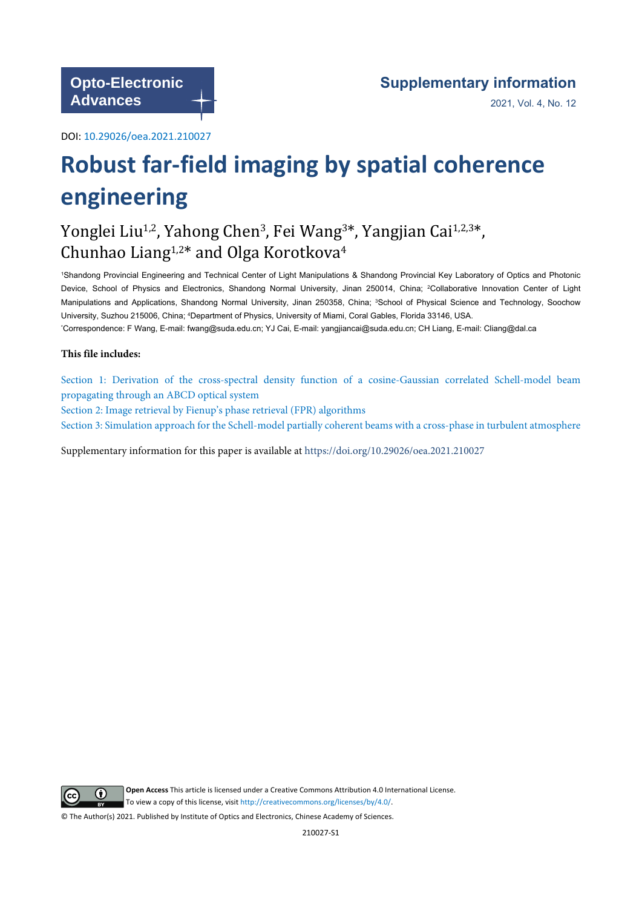DOI: [10.29026/oea.2021.210027](https://doi.org/10.29026/oea.2021.210027)

# **Robust far-field imaging by spatial coherence engineering**

## Yonglei Liu<sup>1,2</sup>, Yahong Chen<sup>3</sup>, Fei Wang<sup>3\*</sup>, Yangjian Cai<sup>1,2,3\*</sup>, Chunhao Liang<sup>1,2\*</sup> and Olga Korotkova<sup>4</sup>

<sup>1</sup>Shandong Provincial Engineering and Technical Center of Light Manipulations & Shandong Provincial Key Laboratory of Optics and Photonic Device, School of Physics and Electronics, Shandong Normal University, Jinan 250014, China; <sup>2</sup>Collaborative Innovation Center of Light Manipulations and Applications, Shandong Normal University, Jinan 250358, China; <sup>3</sup>School of Physical Science and Technology, Soochow University, Suzhou 215006, China; 4Department of Physics, University of Miami, Coral Gables, Florida 33146, USA.

\*Correspondence: F Wang, E-mail: fwang@suda.edu.cn; YJ Cai, E-mail: yangjiancai@suda.edu.cn; CH Liang, E-mail: Cliang@dal.ca

### **This file includes:**

[Section 1: Derivation of the cross-spectral density function of a cosine-Gaussian correlated Schell-mo](#page-1-0)del beam [propagating through an ABCD optical system](#page-1-0) [Section 2: Image retrieval by Fienup's phase retrieval \(FPR\) algorithms](#page-3-0)

[Section 3: Simulation approach for the Schell-model partially coherent beams with a cross-phase in turbulent atmosphere](#page-4-0)

Supplementary information for this paper is available at https://doi.org/10.29026/oea.2021.210027



**Open Access** This article is licensed under a Creative Commons Attribution 4.0 International License. To view a copy of this license, visit<http://creativecommons.org/licenses/by/4.0/.>

© The Author(s) 2021. Published by Institute of Optics and Electronics, Chinese Academy of Sciences.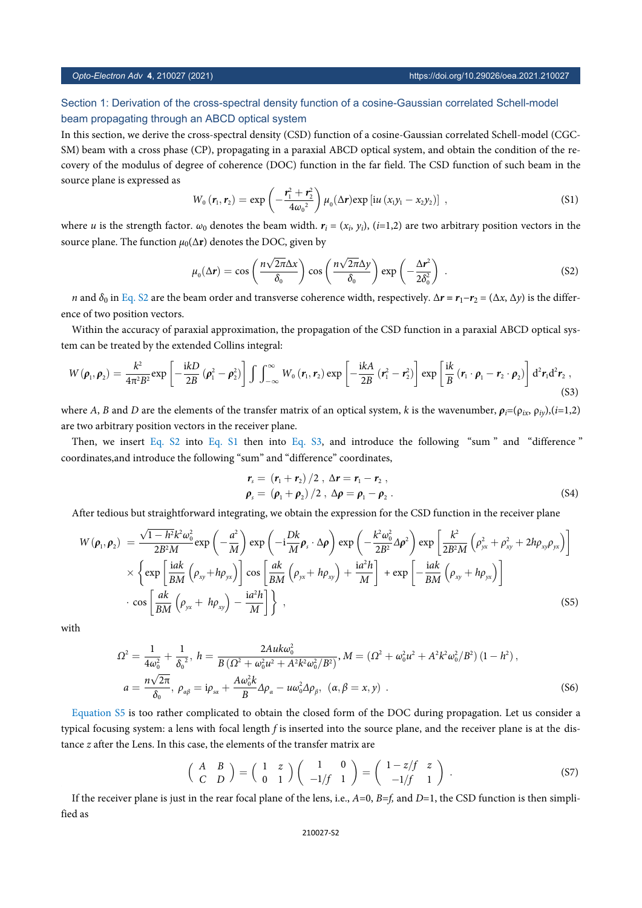### <span id="page-1-0"></span>Section 1: Derivation of the cross-spectral density function of a cosine-Gaussian correlated Schell-model beam propagating through an ABCD optical system

In this section, we derive the cross-spectral density (CSD) function of a cosine-Gaussian correlated Schell-model (CGC-SM) beam with a cross phase (CP), propagating in a paraxial ABCD optical system, and obtain the condition of the recovery of the modulus of degree of coherence (DOC) function in the far field. The CSD function of such beam in the source plane is expressed as

$$
W_0(r_1,r_2)=\exp\left(-\frac{r_1^2+r_2^2}{4\omega_0^2}\right)\mu_0(\Delta r)\exp\left[iu\left(x_1y_1-x_2y_2\right)\right],
$$
\n(S1)

<span id="page-1-1"></span>where *u* is the strength factor.  $\omega_0$  denotes the beam width.  $r_i = (x_i, y_i)$ , (*i*=1,2) are two arbitrary position vectors in the source plane. The function  $\mu_0(\Delta r)$  denotes the DOC, given by

$$
\mu_0(\Delta \mathbf{r}) = \cos\left(\frac{n\sqrt{2\pi}\Delta x}{\delta_0}\right)\cos\left(\frac{n\sqrt{2\pi}\Delta y}{\delta_0}\right)\exp\left(-\frac{\Delta \mathbf{r}^2}{2\delta_0^2}\right) \,. \tag{S2}
$$

*n* and  $\delta_0$  in [Eq. S2](#page-1-1) are the beam order and transverse coherence width, respectively.  $\Delta r = r_1 - r_2 = (\Delta x, \Delta y)$  is the difference of two position vectors.

Within the accuracy of paraxial approximation, the propagation of the CSD function in a paraxial ABCD optical system can be treated by the extended Collins integral:

<span id="page-1-2"></span>
$$
W(\boldsymbol{\rho}_1,\boldsymbol{\rho}_2)=\frac{k^2}{4\pi^2B^2}\exp\left[-\frac{\mathrm{i}kD}{2B}\left(\boldsymbol{\rho}_1^2-\boldsymbol{\rho}_2^2\right)\right]\int\int_{-\infty}^{\infty}W_0\left(\boldsymbol{r}_1,\boldsymbol{r}_2\right)\exp\left[-\frac{\mathrm{i}kA}{2B}\left(\boldsymbol{r}_1^2-\boldsymbol{r}_2^2\right)\right]\exp\left[\frac{\mathrm{i}k}{B}\left(\boldsymbol{r}_1\cdot\boldsymbol{\rho}_1-\boldsymbol{r}_2\cdot\boldsymbol{\rho}_2\right)\right]d^2\boldsymbol{r}_1d^2\boldsymbol{r}_2\,,\tag{S3}
$$

where *A*, *B* and *D* are the elements of the transfer matrix of an optical system, *k* is the wavenumber,  $\rho_i = (\rho_{ix}, \rho_{iy}), (i=1,2)$ are two arbitrary po[sition v](#page-1-1)ectors [in the r](#page-1-2)eceiver plan[e.](#page-1-2)

Then, we insert [Eq. S2](#page-1-1) into [Eq. S1](#page-1-2) then into [Eq. S3](#page-1-2), and introduce the following "sum " and "difference " coordinates,and introduce the following "sum" and "difference" coordinates,

$$
r_s = (r_1 + r_2)/2, \ \Delta r = r_1 - r_2,
$$
  
\n
$$
\rho_s = (\rho_1 + \rho_2)/2, \ \Delta \rho = \rho_1 - \rho_2.
$$
\n(S4)

<span id="page-1-3"></span>After tedious but straightforward integrating, we obtain the expression for the CSD function in the receiver plane

$$
W(\rho_1, \rho_2) = \frac{\sqrt{1 - h^2} k^2 \omega_0^2}{2B^2 M} \exp\left(-\frac{a^2}{M}\right) \exp\left(-i\frac{Dk}{M} \rho_s \cdot \Delta \rho\right) \exp\left(-\frac{k^2 \omega_0^2}{2B^2} \Delta \rho^2\right) \exp\left[\frac{k^2}{2B^2 M} \left(\rho_{yx}^2 + \rho_{xy}^2 + 2h\rho_{xy}\rho_{yx}\right)\right] \times \left\{\exp\left[\frac{iak}{BM} \left(\rho_{xy} + h\rho_{yx}\right)\right] \cos\left[\frac{ak}{BM} \left(\rho_{yx} + h\rho_{xy}\right) + \frac{ia^2h}{M}\right] + \exp\left[-\frac{iak}{BM} \left(\rho_{xy} + h\rho_{yx}\right)\right] \right\} \cdot \cos\left[\frac{ak}{BM} \left(\rho_{yx} + h\rho_{xy}\right) - \frac{ia^2h}{M}\right] \right\},
$$
\n(S5)

with

$$
\Omega^{2} = \frac{1}{4\omega_{0}^{2}} + \frac{1}{\delta_{0}^{2}}, \ h = \frac{2Au\omega_{0}^{2}}{B\left(\Omega^{2} + \omega_{0}^{2}\mu^{2} + A^{2}k^{2}\omega_{0}^{2}/B^{2}\right)}, \ M = \left(\Omega^{2} + \omega_{0}^{2}\mu^{2} + A^{2}k^{2}\omega_{0}^{2}/B^{2}\right)\left(1 - h^{2}\right),
$$
\n
$$
a = \frac{n\sqrt{2\pi}}{\delta_{0}}, \ \rho_{\alpha\beta} = i\rho_{s\alpha} + \frac{A\omega_{0}^{2}k}{B}\Delta\rho_{\alpha} - u\omega_{0}^{2}\Delta\rho_{\beta}, \ (\alpha, \beta = x, y) \ .
$$
\n(S6)

[Equation S5](#page-1-3) is too rather complicated to obtain the closed form of the DOC during propagation. Let us consider a typical focusing system: a lens with focal length *f* is inserted into the source plane, and the receiver plane is at the distance *z* after the Lens. In this case, the elements of the transfer matrix are

$$
\begin{pmatrix}\nA & B \\
C & D\n\end{pmatrix} = \begin{pmatrix}\n1 & z \\
0 & 1\n\end{pmatrix} \begin{pmatrix}\n1 & 0 \\
-1/f & 1\n\end{pmatrix} = \begin{pmatrix}\n1 - z/f & z \\
-1/f & 1\n\end{pmatrix}.
$$
\n(S7)

<span id="page-1-4"></span>If the receiver plane is just in the rear focal plane of the lens, i.e.,  $A=0$ ,  $B=f$ , and  $D=1$ , the CSD function is then simplified as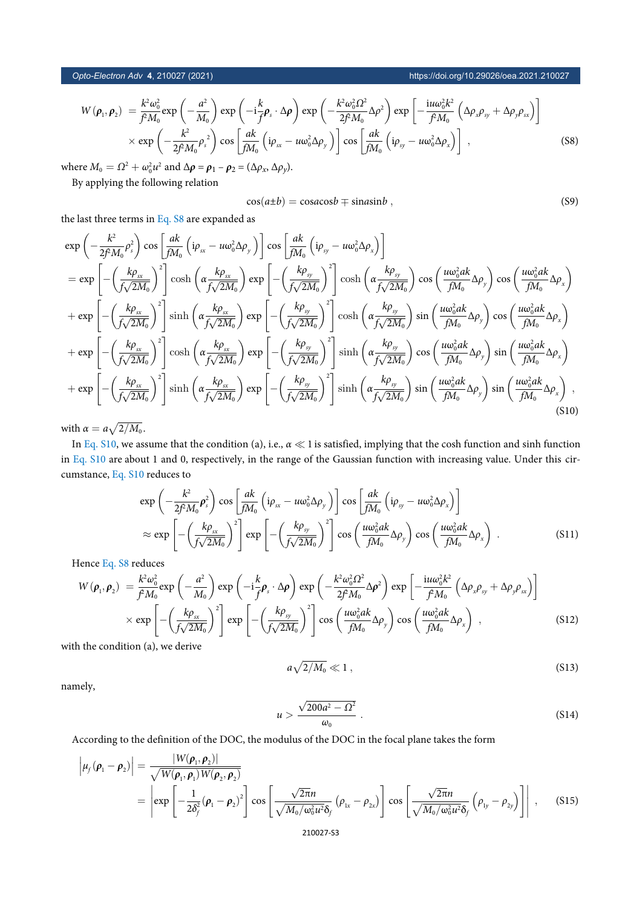*Opto-Electron Adv* **4**, 210027 (2021) https://doi.org/10.29026/oea.2021.210027

$$
W(\rho_1, \rho_2) = \frac{k^2 \omega_0^2}{f^2 M_0} \exp\left(-\frac{a^2}{M_0}\right) \exp\left(-i\frac{k}{f} \rho_s \cdot \Delta \rho\right) \exp\left(-\frac{k^2 \omega_0^2 \Omega^2}{2f^2 M_0} \Delta \rho^2\right) \exp\left[-\frac{i u \omega_0^2 k^2}{f^2 M_0} \left(\Delta \rho_x \rho_{sy} + \Delta \rho_y \rho_{sx}\right)\right] \times \exp\left(-\frac{k^2}{2f^2 M_0} \rho_s^2\right) \cos\left[\frac{ak}{f M_0} \left(i \rho_{sx} - u \omega_0^2 \Delta \rho_y\right)\right] \cos\left[\frac{ak}{f M_0} \left(i \rho_{sy} - u \omega_0^2 \Delta \rho_x\right)\right],
$$
\n(S8)

*where*  $M_0 = \Omega^2 + \omega_0^2 u^2$  and  $\Delta \rho = \rho_1 - \rho_2 = (\Delta \rho_x, \Delta \rho_y)$ .

By applying the following relation

$$
\cos(a \pm b) = \cos a \cos b \mp \sin a \sin b \,,\tag{S9}
$$

the last three terms in [Eq. S8](#page-1-4) are expanded as

<span id="page-2-0"></span>
$$
\exp\left(-\frac{k^2}{2fM_0}\rho_s^2\right)\cos\left[\frac{ak}{fM_0}\left(i\rho_{xx}-u\omega_0^2\Delta\rho_y\right)\right]\cos\left[\frac{ak}{fM_0}\left(i\rho_{yy}-u\omega_0^2\Delta\rho_x\right)\right]
$$
\n
$$
=\exp\left[-\left(\frac{k\rho_{xx}}{f\sqrt{2M_0}}\right)^2\right]\cosh\left(\alpha\frac{k\rho_{xx}}{f\sqrt{2M_0}}\right)\exp\left[-\left(\frac{k\rho_{yy}}{f\sqrt{2M_0}}\right)^2\right]\cosh\left(\alpha\frac{k\rho_{yy}}{f\sqrt{2M_0}}\right)\cos\left(\frac{u\omega_0^2ak}{fM_0}\Delta\rho_y\right)\cos\left(\frac{u\omega_0^2ak}{fM_0}\Delta\rho_x\right)\right]
$$
\n
$$
+\exp\left[-\left(\frac{k\rho_{xx}}{f\sqrt{2M_0}}\right)^2\right]\sinh\left(\alpha\frac{k\rho_{xx}}{f\sqrt{2M_0}}\right)\exp\left[-\left(\frac{k\rho_{yy}}{f\sqrt{2M_0}}\right)^2\right]\cosh\left(\alpha\frac{k\rho_{yy}}{f\sqrt{2M_0}}\right)\sin\left(\frac{u\omega_0^2ak}{fM_0}\Delta\rho_y\right)\cos\left(\frac{u\omega_0^2ak}{fM_0}\Delta\rho_x\right)\right]
$$
\n
$$
+\exp\left[-\left(\frac{k\rho_{xx}}{f\sqrt{2M_0}}\right)^2\right]\cosh\left(\alpha\frac{k\rho_{xx}}{f\sqrt{2M_0}}\right)\exp\left[-\left(\frac{k\rho_{yy}}{f\sqrt{2M_0}}\right)^2\right]\sinh\left(\alpha\frac{k\rho_{yy}}{f\sqrt{2M_0}}\right)\cos\left(\frac{u\omega_0^2ak}{fM_0}\Delta\rho_y\right)\sin\left(\frac{u\omega_0^2ak}{fM_0}\Delta\rho_x\right)\right]
$$
\n
$$
+\exp\left[-\left(\frac{k\rho_{xx}}{f\sqrt{2M_0}}\right)^2\right]\sinh\left(\alpha\frac{k\rho_{xx}}{f\sqrt{2M_0}}\right)^2\sin\left(\alpha\frac{k\rho_{yy}}{f\sqrt{2M_0}}\right)\sin\left(\alpha\frac{m_0^2ak}{fM_0}\
$$

with  $\alpha = a \sqrt{2/M_0}$ .

In [Eq. S10,](#page-2-0) we assume that the condition (a), i.e.,  $\alpha \ll 1$  is satisfied, implying that the cosh function and sinh function in [Eq. S10](#page-2-0) are about 1 and 0, respectively, in the range of the Gaussian function with increasing value. Under this circumstance, [Eq. S10](#page-2-0) reduces to

$$
\exp\left(-\frac{k^2}{2f^2M_0}\rho_s^2\right)\cos\left[\frac{ak}{fM_0}\left(i\rho_{sx} - u\omega_0^2\Delta\rho_y\right)\right]\cos\left[\frac{ak}{fM_0}\left(i\rho_{sy} - u\omega_0^2\Delta\rho_x\right)\right]
$$

$$
\approx \exp\left[-\left(\frac{k\rho_{sx}}{f\sqrt{2M_0}}\right)^2\right]\exp\left[-\left(\frac{k\rho_{sy}}{f\sqrt{2M_0}}\right)^2\right]\cos\left(\frac{u\omega_0^2ak}{fM_0}\Delta\rho_y\right)\cos\left(\frac{u\omega_0^2ak}{fM_0}\Delta\rho_x\right) .
$$
(S11)

Hence [Eq. S8](#page-1-4) reduces

$$
W(\rho_1, \rho_2) = \frac{k^2 \omega_0^2}{f^2 M_0} \exp\left(-\frac{a^2}{M_0}\right) \exp\left(-i\frac{k}{f} \rho_s \cdot \Delta \rho\right) \exp\left(-\frac{k^2 \omega_0^2 \Omega^2}{2f^2 M_0} \Delta \rho^2\right) \exp\left[-\frac{i\mu \omega_0^2 k^2}{f^2 M_0} \left(\Delta \rho_x \rho_{xy} + \Delta \rho_y \rho_{xx}\right)\right] \times \exp\left[-\left(\frac{k \rho_{xx}}{f\sqrt{2M_0}}\right)^2\right] \exp\left[-\left(\frac{k \rho_{yy}}{f\sqrt{2M_0}}\right)^2\right] \cos\left(\frac{\mu \omega_0^2 a k}{f M_0} \Delta \rho_y\right) \cos\left(\frac{\mu \omega_0^2 a k}{f M_0} \Delta \rho_x\right) ,\tag{S12}
$$

with the condition (a), we derive

$$
a\sqrt{2/M_0} \ll 1\,,\tag{S13}
$$

namely,

$$
u > \frac{\sqrt{200a^2 - \Omega^2}}{\omega_0} \ . \tag{S14}
$$

<span id="page-2-1"></span>According to the definition of the DOC, the modulus of the DOC in the focal plane takes the form

$$
\left|\mu_{f}(\boldsymbol{\rho}_{1}-\boldsymbol{\rho}_{2})\right| = \frac{|W(\boldsymbol{\rho}_{1},\boldsymbol{\rho}_{2})|}{\sqrt{W(\boldsymbol{\rho}_{1},\boldsymbol{\rho}_{1})W(\boldsymbol{\rho}_{2},\boldsymbol{\rho}_{2})}} = \left|\exp\left[-\frac{1}{2\delta_{f}^{2}}(\boldsymbol{\rho}_{1}-\boldsymbol{\rho}_{2})^{2}\right]\cos\left[\frac{\sqrt{2\pi}n}{\sqrt{M_{0}/\omega_{0}^{2}u^{2}}\delta_{f}}(\boldsymbol{\rho}_{1x}-\boldsymbol{\rho}_{2x})\right]\cos\left[\frac{\sqrt{2\pi}n}{\sqrt{M_{0}/\omega_{0}^{2}u^{2}}\delta_{f}}(\boldsymbol{\rho}_{1y}-\boldsymbol{\rho}_{2y})\right]\right|,
$$
(S15)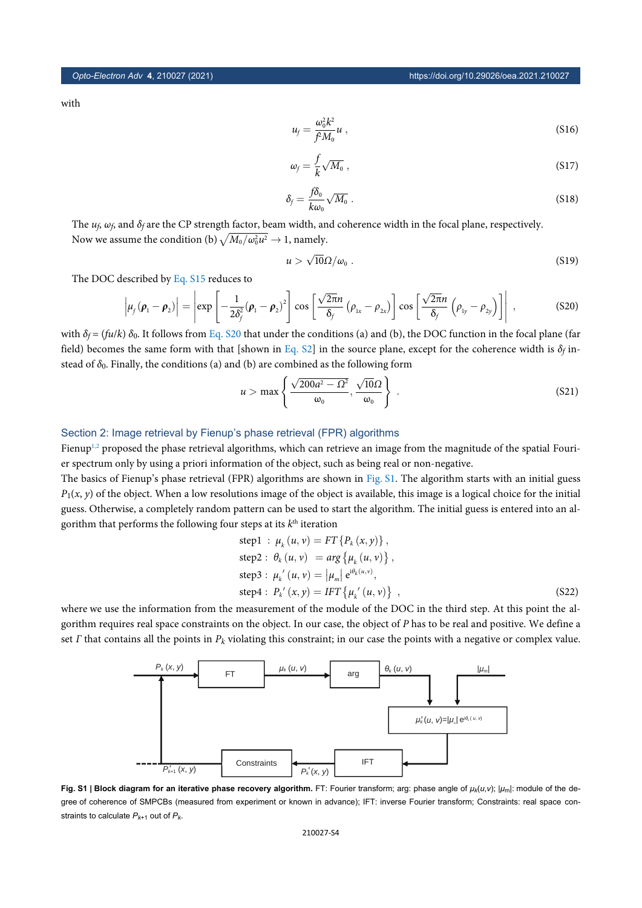with

$$
u_f = \frac{\omega_0^2 k^2}{f^2 M_0} u \tag{S16}
$$

$$
\omega_f = \frac{f}{k} \sqrt{M_0} \,, \tag{S17}
$$

$$
\delta_f = \frac{f\delta_0}{k\omega_0} \sqrt{M_0} \ . \tag{S18}
$$

The *u<sup>f</sup>* , *ω<sup>f</sup>* , and *δ<sup>f</sup>* are the CP strength factor, beam width, and coherence width in the focal plane, respectively. Now we assume the condition (b)  $\sqrt{M_0/\omega_0^2 u^2}\rightarrow$  1, namely.

$$
u > \sqrt{10}\Omega/\omega_0 \ . \tag{S19}
$$

<span id="page-3-1"></span>The DOC described by [Eq. S15](#page-2-1) reduces to

$$
\left|\mu_f(\boldsymbol{\rho}_1-\boldsymbol{\rho}_2)\right|=\left|\exp\left[-\frac{1}{2\delta_f^2}(\boldsymbol{\rho}_1-\boldsymbol{\rho}_2)^2\right]\cos\left[\frac{\sqrt{2\pi}n}{\delta_f}(\boldsymbol{\rho}_{1x}-\boldsymbol{\rho}_{2x})\right]\cos\left[\frac{\sqrt{2\pi}n}{\delta_f}(\boldsymbol{\rho}_{1y}-\boldsymbol{\rho}_{2y})\right]\right|\,,\tag{S20}
$$

with  $\delta_f = (f u / k) \delta_0$ . It follows from [Eq. S20](#page-3-1) that under the conditions (a) and (b), the DOC function in the focal plane (far field) becomes the same form with that [shown in [Eq. S2](#page-1-1)] in the source plane, except for the coherence width is  $\delta_f$  instead of *δ*0. Finally, the conditions (a) and (b) are combined as the following form

$$
u > \max\left\{\frac{\sqrt{200a^2 - \Omega^2}}{\omega_0}, \frac{\sqrt{10}\Omega}{\omega_0}\right\}.
$$
 (S21)

### <span id="page-3-0"></span>Section 2: Image retrieval by Fienup's phase retrieval (FPR) algorithms

Fienup<sup>[1,](#page-6-0)[2](#page-6-1)</sup> proposed the phase retrieval algorithms, which can retrieve an image from the magnitude of the spatial Fourier spectrum only by using a priori information of the object, such as being real or non-negative.

The basics of Fienup's phase retrieval (FPR) algorithms are shown in [Fig. S1.](#page-3-2) The algorithm starts with an initial guess  $P_1(x, y)$  of the object. When a low resolutions image of the object is available, this image is a logical choice for the initial guess. Otherwise, a completely random pattern can be used to start the algorithm. The initial guess is entered into an algorithm that performs the following four steps at its  $k^{\text{th}}$  iteration

step1 : 
$$
\mu_k(u, v) = FT\{P_k(x, y)\},
$$
  
\nstep2 :  $\theta_k(u, v) = arg\{\mu_k(u, v)\},$   
\nstep3 :  $\mu_k'(u, v) = |\mu_m| e^{i\theta_k(u, v)},$   
\nstep4 :  $P_k'(x, y) = IFT\{\mu_k'(u, v)\},$  (S22)

<span id="page-3-2"></span>where we use the information from the measurement of the module of the DOC in the third step. At this point the algorithm requires real space constraints on the object. In our case, the object of *P* has to be real and positive. We define a set *Γ* that contains all the points in *Pk* violating this constraint; in our case the points with a negative or complex value.



**Fig. S1 | Block diagram for an iterative phase recovery algorithm.** FT: Fourier transform; arg: phase angle of *μk*(*u*,*v*); |*μ*m|: module of the degree of coherence of SMPCBs (measured from experiment or known in advance); IFT: inverse Fourier transform; Constraints: real space constraints to calculate  $P_{k+1}$  out of  $P_k$ .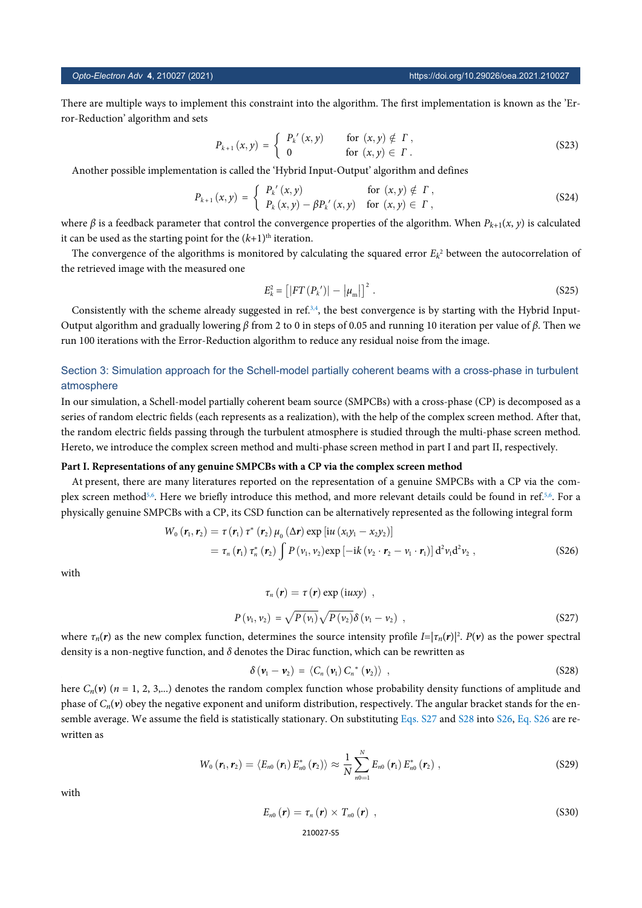There are multiple ways to implement this constraint into the algorithm. The first implementation is known as the 'Error-Reduction' algorithm and sets

$$
P_{k+1}(x,y) = \begin{cases} P_k'(x,y) & \text{for } (x,y) \notin \Gamma, \\ 0 & \text{for } (x,y) \in \Gamma. \end{cases}
$$
 (S23)

Another possible implementation is called the 'Hybrid Input-Output' algorithm and defines

$$
P_{k+1}(x,y) = \begin{cases} P_k'(x,y) & \text{for } (x,y) \notin \Gamma, \\ P_k(x,y) - \beta P_k'(x,y) & \text{for } (x,y) \in \Gamma, \end{cases}
$$
 (S24)

where  $\beta$  is a feedback parameter that control the convergence properties of the algorithm. When  $P_{k+1}(x, y)$  is calculated it can be used as the starting point for the  $(k+1)$ <sup>th</sup> iteration.

The convergence of the algorithms is monitored by calculating the squared error  $E_k^2$  between the autocorrelation of the retrieved image with the measured one

$$
E_{k}^{2} = [|FT(P_{k}^{'})| - |\mu_{m}|]^{2}.
$$
 (S25)

Consistently with the scheme already suggested in ref. $3.4$  $3.4$ , the best convergence is by starting with the Hybrid Input-Output algorithm and gradually lowering *β* from 2 to 0 in steps of 0.05 and running 10 iteration per value of *β*. Then we run 100 iterations with the Error-Reduction algorithm to reduce any residual noise from the image.

### <span id="page-4-0"></span>Section 3: Simulation approach for the Schell-model partially coherent beams with a cross-phase in turbulent atmosphere

In our simulation, a Schell-model partially coherent beam source (SMPCBs) with a cross-phase (CP) is decomposed as a series of random electric fields (each represents as a realization), with the help of the complex screen method. After that, the random electric fields passing through the turbulent atmosphere is studied through the multi-phase screen method. Hereto, we introduce the complex screen method and multi-phase screen method in part I and part II, respectively.

### **Part I. Representations of any genuine SMPCBs with a CP via the complex screen method**

<span id="page-4-3"></span>At present, there are many literatures reported on the representation of a genuine SMPCBs with a CP via the com-plex screen method<sup>[5](#page-6-4)[,6](#page-6-5)</sup>. Here we briefly introduce this method, and more relevant details could be found in ref.<sup>[5,](#page-6-4)[6](#page-6-5)</sup>. For a physically genuine SMPCBs with a CP, its CSD function can be alternatively represented as the following integral form

$$
W_0 \left( \mathbf{r}_1, \mathbf{r}_2 \right) = \tau \left( \mathbf{r}_1 \right) \tau^* \left( \mathbf{r}_2 \right) \mu_0 \left( \Delta \mathbf{r} \right) \exp \left[ i u \left( x_1 y_1 - x_2 y_2 \right) \right]
$$
  
=  $\tau_n \left( \mathbf{r}_1 \right) \tau_n^* \left( \mathbf{r}_2 \right) \int P \left( v_1, v_2 \right) \exp \left[ -i k \left( v_2 \cdot \mathbf{r}_2 - v_1 \cdot \mathbf{r}_1 \right) \right] d^2 v_1 d^2 v_2$ , (S26)

<span id="page-4-1"></span>with

$$
\tau_n(\mathbf{r}) = \tau(\mathbf{r}) \exp(iuxy) ,
$$
  
\n
$$
P(v_1, v_2) = \sqrt{P(v_1)} \sqrt{P(v_2)} \delta(v_1 - v_2) ,
$$
\n(S27)

<span id="page-4-2"></span>where  $\tau_n(r)$  as the new complex function, determines the source intensity profile  $I = |\tau_n(r)|^2$ .  $P(v)$  as the power spectral density is a non-negtive function, and *δ* denotes the Dirac function, which can be rewritten as

$$
\delta\left(\mathbf{v}_{1}-\mathbf{v}_{2}\right)=\left\langle C_{n}\left(\mathbf{v}_{1}\right)C_{n}^{*}\left(\mathbf{v}_{2}\right)\right\rangle ,\qquad (S28)
$$

here  $C_n(v)$  ( $n = 1, 2, 3,...$ ) denotes the random complex function whose probability density functions of amplitude and phase of  $C_n(v)$  obey the negative exponent and uniform distribution, respectiv[ely. The a](#page-4-1)ngu[lar b](#page-4-2)rack[et st](#page-4-3)a[nds for](#page-4-3) the ensemble average. We assume the field is statistically stationary. On substituting [Eqs. S27](#page-4-1) and [S28](#page-4-2) into [S26](#page-4-3), [Eq. S26](#page-4-3) are rewritten as

$$
W_{0} (r_{1}, r_{2}) = \langle E_{n0} (r_{1}) E_{n0}^{*} (r_{2}) \rangle \approx \frac{1}{N} \sum_{n=1}^{N} E_{n0} (r_{1}) E_{n0}^{*} (r_{2}) , \qquad (S29)
$$

with

$$
E_{n0}\left(\boldsymbol{r}\right)=\tau_{n}\left(\boldsymbol{r}\right)\times T_{n0}\left(\boldsymbol{r}\right)\,,\tag{S30}
$$

### *Opto-Electron Adv* **4**, 210027 (2021) https://doi.org/10.29026/oea.2021.210027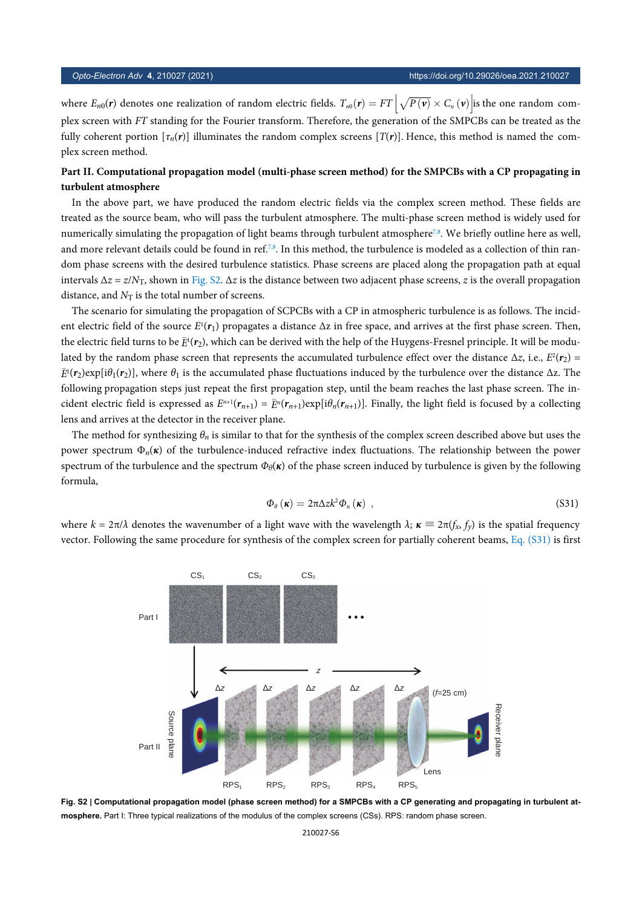where  $E_{n0}(r)$  denotes one realization of random electric fields.  $T_{n0}(r) = FT \left[\sqrt{P(v)} \times C_n(v)\right]$  is the one random complex screen with *FT* standing for the Fourier transform. Therefore, the generation of the SMPCBs can be treated as the fully coherent portion  $[\tau_n(r)]$  illuminates the random complex screens  $[T(r)]$ . Hence, this method is named the complex screen method.

### **Part II. Computational propagation model (multi-phase screen method) for the SMPCBs with a CP propagating in turbulent atmosphere**

In the above part, we have produced the random electric fields via the complex screen method. These fields are treated as the source beam, who will pass the turbulent atmosphere. The multi-phase screen method is widely used for numerically simulating the propagation of light beams through turbulent atmosphere<sup>[7](#page-6-6),[8](#page-6-7)</sup>. We briefly outline here as well, and more relevant details could be found in ref.<sup>[7,](#page-6-6)[8](#page-6-7)</sup>. In this method, the turbulence is modeled as a collection of thin random phase screens with the desired turbulence statistics. Phase screens are placed along the propagation path at equal intervals ∆*z* = *z*/*N*T, shown in [Fig. S2.](#page-5-0) ∆*z* is the distance between two adjacent phase screens, *z* is the overall propagation distance, and  $N_T$  is the total number of screens.

the electric field turns to be  $\bar{E}^1(r_2)$ , which can be derived with the help of the Huygens-Fresnel principle. It will be modu-*E*<sup>1</sup>(*r*<sub>2</sub>)exp[iθ<sub>1</sub>(*r*<sub>2</sub>)], where θ<sub>1</sub> is the accumulated phase fluctuations induced by the turbulence over the distance ∆z. The *E*<sup>*n*+1</sup>( $r_{n+1}$ ) =  $\bar{E}^n(r_{n+1})$ exp[i $\theta_n(r_{n+1})$ ]. Finally, the light field is focused by a collecting The scenario for simulating the propagation of SCPCBs with a CP in atmospheric turbulence is as follows. The incident electric field of the source *E* 1 (*r*1) propagates a distance ∆z in free space, and arrives at the first phase screen. Then, lated by the random phase screen that represents the accumulated turbulence effect over the distance  $\Delta z$ , i.e.,  $E^2(\bm{r}_2)$  = following propagation steps just repeat the first propagation step, until the beam reaches the last phase screen. The inlens and arrives at the detector in the receiver plane.

The method for synthesizing  $\theta_n$  is similar to that for the synthesis of the complex screen described above but uses the power spectrum  $\Phi_n(\kappa)$  of the turbulence-induced refractive index fluctuations. The relationship between the power spectrum of the turbulence and the spectrum  $\Phi_{\theta}(\kappa)$  of the phase screen induced by turbulence is given by the following formula,

$$
\Phi_{\theta}\left(\boldsymbol{\kappa}\right) = 2\pi \Delta z k^2 \Phi_n\left(\boldsymbol{\kappa}\right) \,, \tag{S31}
$$

<span id="page-5-1"></span><span id="page-5-0"></span>where  $k = 2\pi/\lambda$  denotes the wavenumber of a light wave with the wavelength  $\lambda$ ;  $\kappa \equiv 2\pi (f_x, f_y)$  is the s[patial freq](#page-5-1)uency vector. Following the same procedure for synthesis of the complex screen for partially coherent beams, [Eq. \(S31\)](#page-5-1) is first



**Fig. S2 | Computational propagation model (phase screen method) for a SMPCBs with a CP generating and propagating in turbulent atmosphere.** Part I: Three typical realizations of the modulus of the complex screens (CSs). RPS: random phase screen.